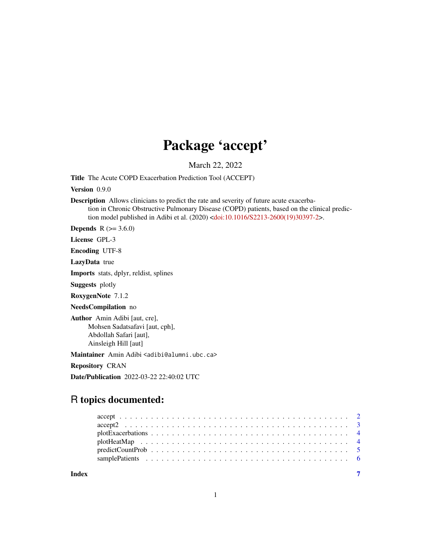## Package 'accept'

March 22, 2022

Title The Acute COPD Exacerbation Prediction Tool (ACCEPT)

Version 0.9.0

Description Allows clinicians to predict the rate and severity of future acute exacerbation in Chronic Obstructive Pulmonary Disease (COPD) patients, based on the clinical prediction model published in Adibi et al. (2020) [<doi:10.1016/S2213-2600\(19\)30397-2>](https://doi.org/10.1016/S2213-2600(19)30397-2).

**Depends** R  $(>= 3.6.0)$ 

License GPL-3

Encoding UTF-8

LazyData true

Imports stats, dplyr, reldist, splines

Suggests plotly

RoxygenNote 7.1.2

NeedsCompilation no

Author Amin Adibi [aut, cre], Mohsen Sadatsafavi [aut, cph], Abdollah Safari [aut], Ainsleigh Hill [aut]

Maintainer Amin Adibi <adibi@alumni.ubc.ca>

Repository CRAN

Date/Publication 2022-03-22 22:40:02 UTC

### R topics documented:

**Index** [7](#page-6-0)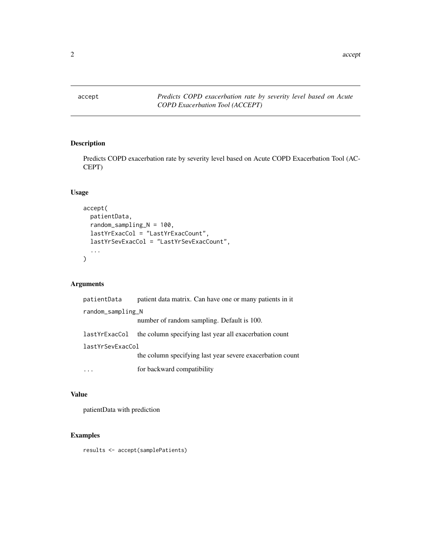<span id="page-1-0"></span>

#### Description

Predicts COPD exacerbation rate by severity level based on Acute COPD Exacerbation Tool (AC-CEPT)

#### Usage

```
accept(
 patientData,
 random_sampling_N = 100,
 lastYrExacCol = "LastYrExacCount",
  lastYrSevExacCol = "LastYrSevExacCount",
  ...
)
```
#### Arguments

| patientData       | patient data matrix. Can have one or many patients in it  |
|-------------------|-----------------------------------------------------------|
| random_sampling_N |                                                           |
|                   | number of random sampling. Default is 100.                |
| lastYrExacCol     | the column specifying last year all exacerbation count    |
| lastYrSevExacCol  |                                                           |
|                   | the column specifying last year severe exacerbation count |
|                   | for backward compatibility                                |

#### Value

patientData with prediction

#### Examples

results <- accept(samplePatients)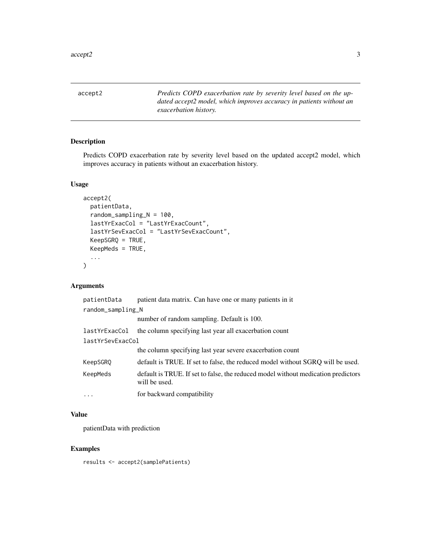<span id="page-2-0"></span>accept2 *Predicts COPD exacerbation rate by severity level based on the updated accept2 model, which improves accuracy in patients without an exacerbation history.*

#### Description

Predicts COPD exacerbation rate by severity level based on the updated accept2 model, which improves accuracy in patients without an exacerbation history.

#### Usage

```
accept2(
 patientData,
  random_sampling_N = 100,
  lastYrExacCol = "LastYrExacCount",
  lastYrSevExacCol = "LastYrSevExacCount",
 KeepSGRQ = TRUE,
 KeepMeds = TRUE,
  ...
\mathcal{L}
```
#### Arguments

| patientData       | patient data matrix. Can have one or many patients in it                                           |
|-------------------|----------------------------------------------------------------------------------------------------|
| random_sampling_N |                                                                                                    |
|                   | number of random sampling. Default is 100.                                                         |
| lastYrExacCol     | the column specifying last year all exacerbation count                                             |
| lastYrSevExacCol  |                                                                                                    |
|                   | the column specifying last year severe exacerbation count                                          |
| KeepSGRO          | default is TRUE. If set to false, the reduced model without SGRO will be used.                     |
| KeepMeds          | default is TRUE. If set to false, the reduced model without medication predictors<br>will be used. |
| .                 | for backward compatibility                                                                         |

#### Value

patientData with prediction

#### Examples

results <- accept2(samplePatients)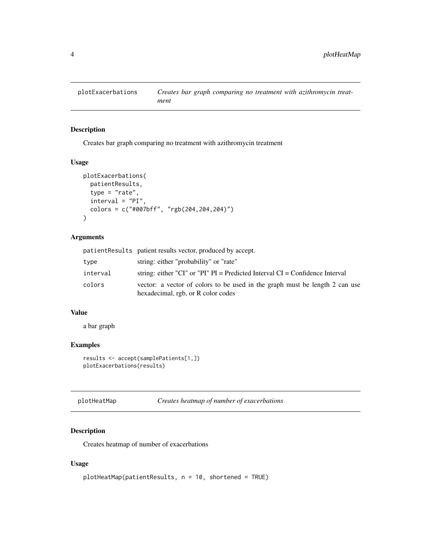<span id="page-3-0"></span>

#### Description

Creates bar graph comparing no treatment with azithromycin treatment

#### Usage

```
plotExacerbations(
 patientResults,
  type = "rate",interval = "PI",colors = c("#007bff", "rgb(204,204,204)")
\mathcal{L}
```
#### Arguments

|          | patientResults patient results vector, produced by accept.                                                        |
|----------|-------------------------------------------------------------------------------------------------------------------|
| type     | string: either "probability" or "rate"                                                                            |
| interval | string: either "CI" or "PI" $PI =$ Predicted Interval CI = Confidence Interval                                    |
| colors   | vector: a vector of colors to be used in the graph must be length 2 can use<br>hexadecimal, rgb, or R color codes |

#### Value

a bar graph

#### Examples

```
results <- accept(samplePatients[1,])
plotExacerbations(results)
```

| plotHeatMap | Creates heatmap of number of exacerbations |
|-------------|--------------------------------------------|
|-------------|--------------------------------------------|

#### Description

Creates heatmap of number of exacerbations

#### Usage

```
plotHeatMap(patientResults, n = 10, shortened = TRUE)
```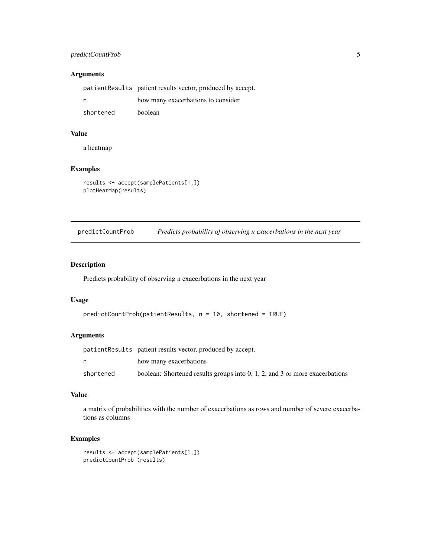#### <span id="page-4-0"></span>predictCountProb 5

#### Arguments

|           | patient Results patient results vector, produced by accept. |
|-----------|-------------------------------------------------------------|
| n         | how many exacerbations to consider                          |
| shortened | boolean                                                     |

#### Value

a heatmap

#### Examples

```
results <- accept(samplePatients[1,])
plotHeatMap(results)
```
predictCountProb *Predicts probability of observing n exacerbations in the next year*

#### Description

Predicts probability of observing n exacerbations in the next year

#### Usage

```
predictCountProb(patientResults, n = 10, shortened = TRUE)
```
#### Arguments

|           | patient Results patient results vector, produced by accept.                    |
|-----------|--------------------------------------------------------------------------------|
|           | how many exacerbations                                                         |
| shortened | boolean: Shortened results groups into $0, 1, 2$ , and 3 or more exacerbations |

#### Value

a matrix of probabilities with the number of exacerbations as rows and number of severe exacerbations as columns

#### Examples

```
results <- accept(samplePatients[1,])
predictCountProb (results)
```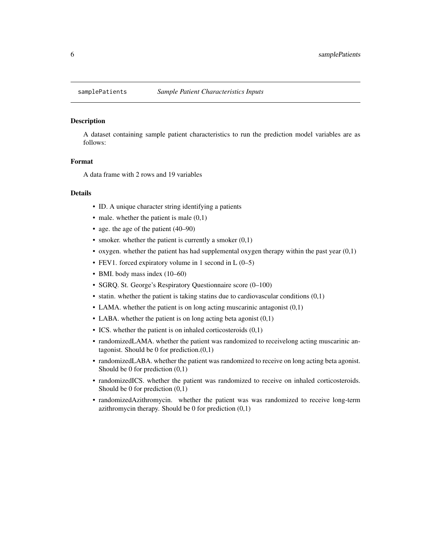<span id="page-5-0"></span>

#### Description

A dataset containing sample patient characteristics to run the prediction model variables are as follows:

#### Format

A data frame with 2 rows and 19 variables

#### Details

- ID. A unique character string identifying a patients
- male. whether the patient is male  $(0,1)$
- age. the age of the patient (40–90)
- smoker. whether the patient is currently a smoker  $(0,1)$
- oxygen. whether the patient has had supplemental oxygen therapy within the past year (0,1)
- FEV1. forced expiratory volume in 1 second in  $L(0-5)$
- BMI. body mass index (10–60)
- SGRQ. St. George's Respiratory Questionnaire score (0–100)
- statin. whether the patient is taking statins due to cardiovascular conditions  $(0,1)$
- LAMA. whether the patient is on long acting muscarinic antagonist (0,1)
- LABA. whether the patient is on long acting beta agonist  $(0,1)$
- ICS. whether the patient is on inhaled corticosteroids  $(0,1)$
- randomizedLAMA. whether the patient was randomized to receivelong acting muscarinic antagonist. Should be 0 for prediction.(0,1)
- randomizedLABA. whether the patient was randomized to receive on long acting beta agonist. Should be 0 for prediction (0,1)
- randomizedICS. whether the patient was randomized to receive on inhaled corticosteroids. Should be 0 for prediction (0,1)
- randomizedAzithromycin. whether the patient was was randomized to receive long-term azithromycin therapy. Should be 0 for prediction  $(0,1)$